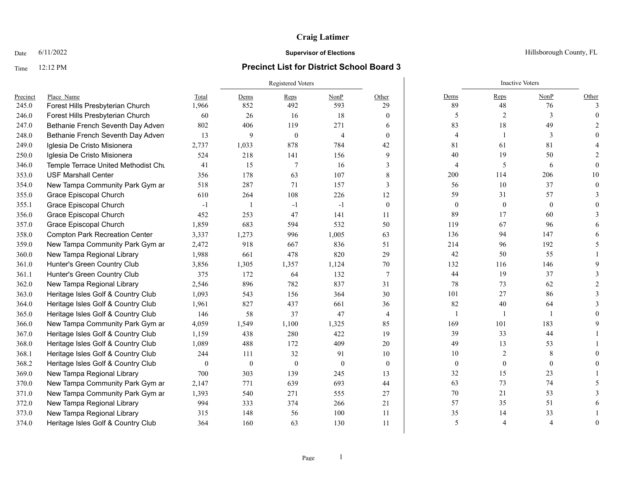## Time 12:12 PM **Precinct List for District School Board 3**

|          |                                       |                  | Registered Voters |                |                |                |                  | <b>Inactive Voters</b> |                |       |
|----------|---------------------------------------|------------------|-------------------|----------------|----------------|----------------|------------------|------------------------|----------------|-------|
| Precinct | Place Name                            | Total            | Dems              | Reps           | NonP           | Other          | Dems             | Reps                   | NonP           | Other |
| 245.0    | Forest Hills Presbyterian Church      | 1,966            | 852               | 492            | 593            | 29             | 89               | 48                     | 76             |       |
| 246.0    | Forest Hills Presbyterian Church      | 60               | 26                | 16             | 18             | $\mathbf{0}$   | 5                | 2                      | 3              |       |
| 247.0    | Bethanie French Seventh Day Adven     | 802              | 406               | 119            | 271            | 6              | 83               | 18                     | 49             |       |
| 248.0    | Bethanie French Seventh Day Adven     | 13               | 9                 | $\theta$       | $\overline{4}$ | $\mathbf{0}$   | $\overline{4}$   |                        | 3              |       |
| 249.0    | Iglesia De Cristo Misionera           | 2,737            | 1,033             | 878            | 784            | 42             | 81               | 61                     | 81             |       |
| 250.0    | Iglesia De Cristo Misionera           | 524              | 218               | 141            | 156            | 9              | 40               | 19                     | 50             |       |
| 346.0    | Temple Terrace United Methodist Chu   | 41               | 15                | $\overline{7}$ | 16             | 3              | $\overline{4}$   | 5                      | 6              |       |
| 353.0    | <b>USF Marshall Center</b>            | 356              | 178               | 63             | 107            | 8              | 200              | 114                    | 206            | 10    |
| 354.0    | New Tampa Community Park Gym ar       | 518              | 287               | 71             | 157            | 3              | 56               | 10                     | 37             |       |
| 355.0    | Grace Episcopal Church                | 610              | 264               | 108            | 226            | 12             | 59               | 31                     | 57             |       |
| 355.1    | Grace Episcopal Church                | $-1$             |                   | $-1$           | $-1$           | $\mathbf{0}$   | $\boldsymbol{0}$ | $\mathbf{0}$           | $\mathbf{0}$   |       |
| 356.0    | Grace Episcopal Church                | 452              | 253               | 47             | 141            | 11             | 89               | 17                     | 60             |       |
| 357.0    | Grace Episcopal Church                | 1,859            | 683               | 594            | 532            | 50             | 119              | 67                     | 96             |       |
| 358.0    | <b>Compton Park Recreation Center</b> | 3,337            | 1,273             | 996            | 1,005          | 63             | 136              | 94                     | 147            |       |
| 359.0    | New Tampa Community Park Gym ar       | 2,472            | 918               | 667            | 836            | 51             | 214              | 96                     | 192            |       |
| 360.0    | New Tampa Regional Library            | 1,988            | 661               | 478            | 820            | 29             | 42               | 50                     | 55             |       |
| 361.0    | Hunter's Green Country Club           | 3,856            | 1,305             | 1,357          | 1,124          | 70             | 132              | 116                    | 146            |       |
| 361.1    | Hunter's Green Country Club           | 375              | 172               | 64             | 132            | $\overline{7}$ | 44               | 19                     | 37             |       |
| 362.0    | New Tampa Regional Library            | 2,546            | 896               | 782            | 837            | 31             | 78               | 73                     | 62             |       |
| 363.0    | Heritage Isles Golf & Country Club    | 1,093            | 543               | 156            | 364            | 30             | 101              | $27\,$                 | 86             |       |
| 364.0    | Heritage Isles Golf & Country Club    | 1,961            | 827               | 437            | 661            | 36             | 82               | 40                     | 64             |       |
| 365.0    | Heritage Isles Golf & Country Club    | 146              | 58                | 37             | 47             | $\overline{4}$ |                  |                        |                |       |
| 366.0    | New Tampa Community Park Gym ar       | 4,059            | 1,549             | 1,100          | 1,325          | 85             | 169              | 101                    | 183            |       |
| 367.0    | Heritage Isles Golf & Country Club    | 1,159            | 438               | 280            | 422            | 19             | 39               | 33                     | 44             |       |
| 368.0    | Heritage Isles Golf & Country Club    | 1,089            | 488               | 172            | 409            | 20             | 49               | 13                     | 53             |       |
| 368.1    | Heritage Isles Golf & Country Club    | 244              | 111               | 32             | 91             | 10             | 10               | 2                      | 8              |       |
| 368.2    | Heritage Isles Golf & Country Club    | $\boldsymbol{0}$ | $\boldsymbol{0}$  | $\theta$       | $\overline{0}$ | $\mathbf{0}$   | $\boldsymbol{0}$ | $\boldsymbol{0}$       | $\overline{0}$ |       |
| 369.0    | New Tampa Regional Library            | 700              | 303               | 139            | 245            | 13             | 32               | 15                     | 23             |       |
| 370.0    | New Tampa Community Park Gym ar       | 2,147            | 771               | 639            | 693            | 44             | 63               | 73                     | 74             |       |
| 371.0    | New Tampa Community Park Gym ar       | 1,393            | 540               | 271            | 555            | 27             | 70               | 21                     | 53             |       |
| 372.0    | New Tampa Regional Library            | 994              | 333               | 374            | 266            | 21             | 57               | 35                     | 51             |       |
| 373.0    | New Tampa Regional Library            | 315              | 148               | 56             | 100            | 11             | 35               | 14                     | 33             |       |
| 374.0    | Heritage Isles Golf & Country Club    | 364              | 160               | 63             | 130            | 11             | 5                | $\overline{4}$         | $\overline{4}$ |       |

Date  $6/11/2022$  Hillsborough County, FL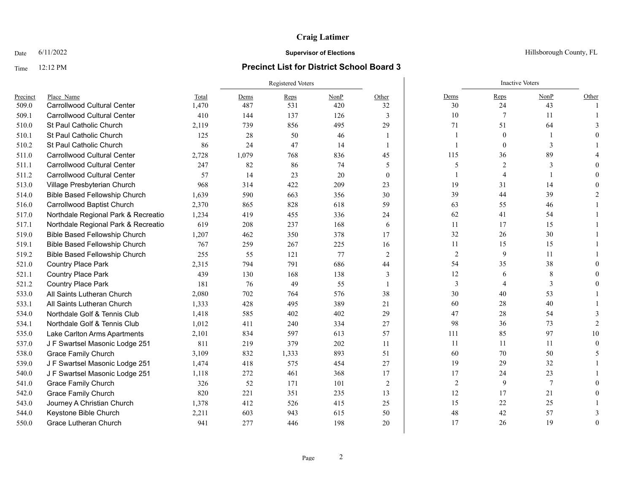## Time 12:12 PM **Precinct List for District School Board 3**

|          |                                      |       |       | Registered Voters |      |                |                | <b>Inactive Voters</b> |                |          |
|----------|--------------------------------------|-------|-------|-------------------|------|----------------|----------------|------------------------|----------------|----------|
| Precinct | Place Name                           | Total | Dems  | Reps              | NonP | Other          | Dems           | Reps                   | NonP           | Other    |
| 509.0    | <b>Carrollwood Cultural Center</b>   | 1.470 | 487   | 531               | 420  | 32             | 30             | 24                     | 43             |          |
| 509.1    | <b>Carrollwood Cultural Center</b>   | 410   | 144   | 137               | 126  | 3              | 10             | 7                      | 11             |          |
| 510.0    | St Paul Catholic Church              | 2,119 | 739   | 856               | 495  | 29             | 71             | 51                     | 64             |          |
| 510.1    | St Paul Catholic Church              | 125   | 28    | 50                | 46   | 1              |                | $\mathbf{0}$           |                |          |
| 510.2    | St Paul Catholic Church              | 86    | 24    | 47                | 14   | $\overline{1}$ |                | $\mathbf{0}$           | 3              |          |
| 511.0    | <b>Carrollwood Cultural Center</b>   | 2,728 | 1,079 | 768               | 836  | 45             | 115            | 36                     | 89             |          |
| 511.1    | <b>Carrollwood Cultural Center</b>   | 247   | 82    | 86                | 74   | 5              | 5              | 2                      | $\mathcal{E}$  |          |
| 511.2    | <b>Carrollwood Cultural Center</b>   | 57    | 14    | 23                | 20   | $\theta$       |                | $\overline{4}$         |                |          |
| 513.0    | Village Presbyterian Church          | 968   | 314   | 422               | 209  | 23             | 19             | 31                     | 14             |          |
| 514.0    | <b>Bible Based Fellowship Church</b> | 1,639 | 590   | 663               | 356  | 30             | 39             | 44                     | 39             |          |
| 516.0    | Carrollwood Baptist Church           | 2,370 | 865   | 828               | 618  | 59             | 63             | 55                     | 46             |          |
| 517.0    | Northdale Regional Park & Recreatio  | 1,234 | 419   | 455               | 336  | 24             | 62             | 41                     | 54             |          |
| 517.1    | Northdale Regional Park & Recreatio  | 619   | 208   | 237               | 168  | 6              | 11             | 17                     | 15             |          |
| 519.0    | <b>Bible Based Fellowship Church</b> | 1,207 | 462   | 350               | 378  | 17             | 32             | 26                     | 30             |          |
| 519.1    | <b>Bible Based Fellowship Church</b> | 767   | 259   | 267               | 225  | 16             | 11             | 15                     | 15             |          |
| 519.2    | <b>Bible Based Fellowship Church</b> | 255   | 55    | 121               | 77   | 2              | $\sqrt{2}$     | 9                      | 11             |          |
| 521.0    | <b>Country Place Park</b>            | 2.315 | 794   | 791               | 686  | 44             | 54             | 35                     | 38             |          |
| 521.1    | <b>Country Place Park</b>            | 439   | 130   | 168               | 138  | 3              | 12             | 6                      | 8              |          |
| 521.2    | <b>Country Place Park</b>            | 181   | 76    | 49                | 55   |                | 3              | $\overline{4}$         | 3              |          |
| 533.0    | All Saints Lutheran Church           | 2,080 | 702   | 764               | 576  | 38             | 30             | 40                     | 53             |          |
| 533.1    | All Saints Lutheran Church           | 1,333 | 428   | 495               | 389  | 21             | 60             | 28                     | 40             |          |
| 534.0    | Northdale Golf & Tennis Club         | 1,418 | 585   | 402               | 402  | 29             | 47             | 28                     | 54             |          |
| 534.1    | Northdale Golf & Tennis Club         | 1,012 | 411   | 240               | 334  | 27             | 98             | 36                     | 73             |          |
| 535.0    | Lake Carlton Arms Apartments         | 2,101 | 834   | 597               | 613  | 57             | 111            | 85                     | 97             | 10       |
| 537.0    | J F Swartsel Masonic Lodge 251       | 811   | 219   | 379               | 202  | 11             | 11             | 11                     | 11             |          |
| 538.0    | <b>Grace Family Church</b>           | 3,109 | 832   | 1,333             | 893  | 51             | 60             | 70                     | 50             |          |
| 539.0    | J F Swartsel Masonic Lodge 251       | 1,474 | 418   | 575               | 454  | 27             | 19             | 29                     | 32             |          |
| 540.0    | J F Swartsel Masonic Lodge 251       | 1,118 | 272   | 461               | 368  | 17             | 17             | 24                     | 23             |          |
| 541.0    | <b>Grace Family Church</b>           | 326   | 52    | 171               | 101  | 2              | $\overline{2}$ | 9                      | $\overline{7}$ |          |
| 542.0    | <b>Grace Family Church</b>           | 820   | 221   | 351               | 235  | 13             | 12             | 17                     | 21             |          |
| 543.0    | Journey A Christian Church           | 1,378 | 412   | 526               | 415  | 25             | 15             | 22                     | 25             |          |
| 544.0    | Keystone Bible Church                | 2,211 | 603   | 943               | 615  | 50             | 48             | 42                     | 57             |          |
| 550.0    | Grace Lutheran Church                | 941   | 277   | 446               | 198  | 20             | 17             | 26                     | 19             | $\Omega$ |

### Date  $6/11/2022$  Hillsborough County, FL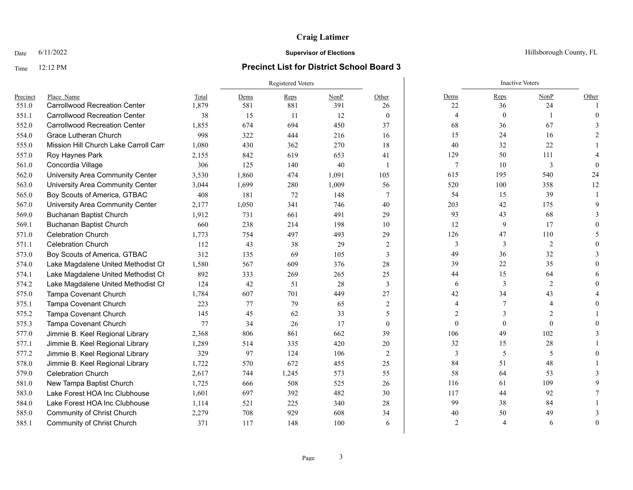#### Time 12:12 PM **Precinct List for District School Board 3**

### Registered Voters **Inactive Voters** Inactive Voters **Inactive Voters** Precinct Place\_Name Total Dems Reps NonP Other Dems Reps NonP Other 551.0 Carrollwood Recreation Center 1,879 581 881 391 26 22 36 24 1 551.1 Carrollwood Recreation Center 38 15 11 12 0 4 0 1 0 552.0 Carrollwood Recreation Center 1,855 674 694 450 37 68 36 67 3 554.0 Grace Lutheran Church 998 322 444 216 16 15 24 16 2 555.0 Mission Hill Church Lake Carroll Campus 1,080 430 362 270 18 40 32 22 1 557.0 Roy Haynes Park 2,155 842 619 653 41 | 129 50 111 4 561.0 Concordia Village 306 125 140 40 1 7 10 3 0 562.0 University Area Community Center 3,530 1,860 474 1,091 105 615 195 540 24 563.0 University Area Community Center 3,044 1,699 280 1,009 56 520 100 358 12 565.0 Boy Scouts of America, GTBAC 408 181 72 148 7 | 54 15 39 1 567.0 University Area Community Center 2,177 1,050 341 746 40 203 42 175 9 569.0 Buchanan Baptist Church 1,912 731 661 491 29 33 43 68 3 569.1 Buchanan Baptist Church 660 238 214 198 10 12 9 17 0 571.0 Celebration Church 1,773 754 497 493 29 126 47 110 5 571.1 Celebration Church 112 43 38 29 2 3 3 2 0 573.0 Boy Scouts of America, GTBAC 312 135 69 105 3 49 36 32 3 574.0 Lake Magdalene United Methodist Cr  $1,580$  567 609 376 28 39 22 35 0 574.1 Lake Magdalene United Methodist Cr as 892 333 269 265 25 44 15 64 6 574.2 Lake Magdalene United Methodist Cr and 124 42 51 28 3 3 6 3 3 2 0 575.0 Tampa Covenant Church 1,784 607 701 449 27 42 34 43 4 575.1 Tampa Covenant Church 223 77 79 65 2 4 7 4 0 575.2 Tampa Covenant Church 145 45 62 33 5 2 3 2 1 575.3 Tampa Covenant Church 77 34 26 17 0 0 0 0 0 577.0 Jimmie B. Keel Regional Library 2.368 806 861 662 39 106 49 102 3 577.1 Jimmie B. Keel Regional Library 1,289 514 335 420 20 32 15 28 1 577.2 Jimmie B. Keel Regional Library 329 97 124 106 2 3 3 5 5 5 0 578.0 Jimmie B. Keel Regional Library 1,722 570 672 455 25 84 51 48 1 579.0 Celebration Church 2,617 744 1,245 573 55 58 64 53 3 581.0 New Tampa Baptist Church 1,725 666 508 525 26 116 61 109 9 583.0 Lake Forest HOA Inc Clubhouse  $1,601$  697 392 482 30 117 44 92 7 584.0 Lake Forest HOA Inc Clubhouse 1,114 521 225 340 28 99 38 84 1 585.0 Community of Christ Church 2,279 708 929 608 34 40 50 49 3 585.1 Community of Christ Church 371 117 148 100 6 2 4 6 0

**Date** 6/11/2022 **Supervisor of Elections Supervisor of Elections** Hillsborough County, FL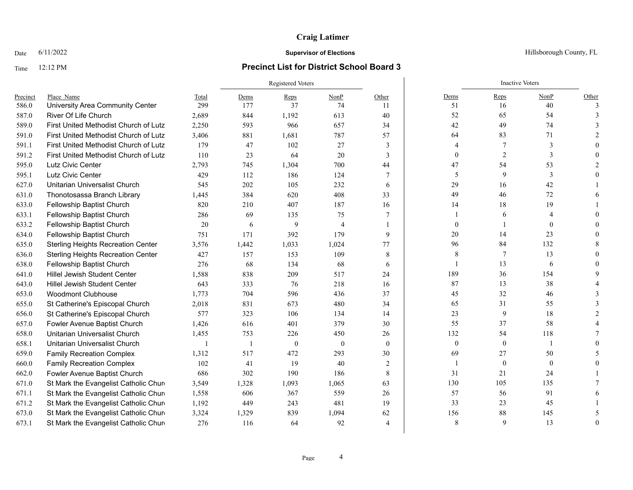## Time 12:12 PM **Precinct List for District School Board 3**

|          |                                           |       |              | <b>Registered Voters</b> |                |                |                  | <b>Inactive Voters</b> |              |              |
|----------|-------------------------------------------|-------|--------------|--------------------------|----------------|----------------|------------------|------------------------|--------------|--------------|
| Precinct | Place Name                                | Total | Dems         | Reps                     | NonP           | Other          | Dems             | Reps                   | NonP         | Other        |
| 586.0    | University Area Community Center          | 299   | 177          | 37                       | 74             | 11             | 51               | 16                     | 40           | $\mathbf{a}$ |
| 587.0    | River Of Life Church                      | 2,689 | 844          | 1,192                    | 613            | 40             | 52               | 65                     | 54           |              |
| 589.0    | First United Methodist Church of Lutz     | 2,250 | 593          | 966                      | 657            | 34             | 42               | 49                     | 74           |              |
| 591.0    | First United Methodist Church of Lutz     | 3,406 | 881          | 1,681                    | 787            | 57             | 64               | 83                     | 71           |              |
| 591.1    | First United Methodist Church of Lutz     | 179   | 47           | 102                      | 27             | 3              | $\overline{4}$   | 7                      | 3            |              |
| 591.2    | First United Methodist Church of Lutz     | 110   | 23           | 64                       | 20             | 3              | $\mathbf{0}$     | 2                      | 3            |              |
| 595.0    | Lutz Civic Center                         | 2,793 | 745          | 1,304                    | 700            | 44             | 47               | 54                     | 53           |              |
| 595.1    | Lutz Civic Center                         | 429   | 112          | 186                      | 124            | 7              | 5                | 9                      | 3            |              |
| 627.0    | Unitarian Universalist Church             | 545   | 202          | 105                      | 232            | 6              | 29               | 16                     | 42           |              |
| 631.0    | Thonotosassa Branch Library               | 1,445 | 384          | 620                      | 408            | 33             | 49               | 46                     | 72           |              |
| 633.0    | Fellowship Baptist Church                 | 820   | 210          | 407                      | 187            | 16             | 14               | 18                     | 19           |              |
| 633.1    | Fellowship Baptist Church                 | 286   | 69           | 135                      | 75             | 7              |                  | 6                      |              |              |
| 633.2    | Fellowship Baptist Church                 | 20    | 6            | 9                        | $\overline{4}$ |                | $\mathbf{0}$     |                        | $\theta$     |              |
| 634.0    | Fellowship Baptist Church                 | 751   | 171          | 392                      | 179            | 9              | 20               | 14                     | 23           |              |
| 635.0    | <b>Sterling Heights Recreation Center</b> | 3,576 | 1,442        | 1,033                    | 1,024          | 77             | 96               | 84                     | 132          |              |
| 636.0    | <b>Sterling Heights Recreation Center</b> | 427   | 157          | 153                      | 109            | 8              | 8                | 7                      | 13           |              |
| 638.0    | Fellowship Baptist Church                 | 276   | 68           | 134                      | 68             | 6              | 1                | 13                     | 6            |              |
| 641.0    | <b>Hillel Jewish Student Center</b>       | 1.588 | 838          | 209                      | 517            | 24             | 189              | 36                     | 154          |              |
| 643.0    | Hillel Jewish Student Center              | 643   | 333          | 76                       | 218            | 16             | 87               | 13                     | 38           |              |
| 653.0    | <b>Woodmont Clubhouse</b>                 | 1,773 | 704          | 596                      | 436            | 37             | 45               | 32                     | 46           |              |
| 655.0    | St Catherine's Episcopal Church           | 2,018 | 831          | 673                      | 480            | 34             | 65               | 31                     | 55           |              |
| 656.0    | St Catherine's Episcopal Church           | 577   | 323          | 106                      | 134            | 14             | 23               | 9                      | 18           |              |
| 657.0    | Fowler Avenue Baptist Church              | 1,426 | 616          | 401                      | 379            | 30             | 55               | 37                     | 58           |              |
| 658.0    | Unitarian Universalist Church             | 1,455 | 753          | 226                      | 450            | 26             | 132              | 54                     | 118          |              |
| 658.1    | Unitarian Universalist Church             | -1    | $\mathbf{1}$ | $\mathbf{0}$             | $\overline{0}$ | $\theta$       | $\boldsymbol{0}$ | $\boldsymbol{0}$       |              |              |
| 659.0    | <b>Family Recreation Complex</b>          | 1,312 | 517          | 472                      | 293            | 30             | 69               | 27                     | 50           |              |
| 660.0    | <b>Family Recreation Complex</b>          | 102   | 41           | 19                       | 40             | 2              | -1               | $\mathbf{0}$           | $\mathbf{0}$ |              |
| 662.0    | Fowler Avenue Baptist Church              | 686   | 302          | 190                      | 186            | 8              | 31               | 21                     | 24           |              |
| 671.0    | St Mark the Evangelist Catholic Chure     | 3,549 | 1,328        | 1,093                    | 1,065          | 63             | 130              | 105                    | 135          |              |
| 671.1    | St Mark the Evangelist Catholic Chure     | 1,558 | 606          | 367                      | 559            | 26             | 57               | 56                     | 91           |              |
| 671.2    | St Mark the Evangelist Catholic Chure     | 1,192 | 449          | 243                      | 481            | 19             | 33               | 23                     | 45           |              |
| 673.0    | St Mark the Evangelist Catholic Chure     | 3,324 | 1,329        | 839                      | 1,094          | 62             | 156              | 88                     | 145          |              |
| 673.1    | St Mark the Evangelist Catholic Chure     | 276   | 116          | 64                       | 92             | $\overline{4}$ | 8                | $\mathbf Q$            | 13           | $\Omega$     |

### Date  $6/11/2022$  Hillsborough County, FL